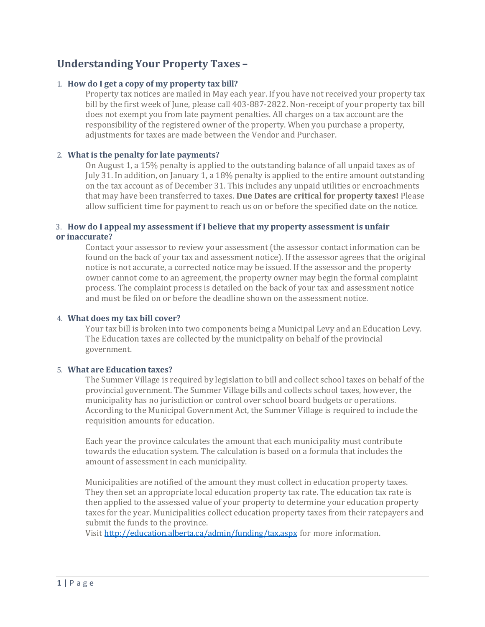# **Understanding Your Property Taxes –**

## 1. **How do I get a copy of my [property](https://www.hinton.ca/Faq.aspx?TID=27) tax bill?**

Property tax notices are mailed in May each year. If you have not received your property tax bill by the first week of June, please call 403-887-2822. Non-receipt of your property tax bill does not exempt you from late payment penalties. All charges on a tax account are the responsibility of the registered owner of the property. When you purchase a property, adjustments for taxes are made between the Vendor and Purchaser.

### 2. **What is the penalty for late [payments?](https://www.hinton.ca/Faq.aspx?TID=27)**

On August 1, a 15% penalty is applied to the outstanding balance of all unpaid taxes as of July 31. In addition, on January 1, a 18% penalty is applied to the entire amount outstanding on the tax account as of December 31. This includes any unpaid utilities or encroachments that may have been transferred to taxes. **Due Dates are critical for property taxes!** Please allow sufficient time for payment to reach us on or before the specified date on the notice.

## 3. **How do I appeal my [assessment](https://www.hinton.ca/Faq.aspx?TID=27) if I believe that my property assessment is unfair [or](https://www.hinton.ca/Faq.aspx?TID=27) [inaccurate?](https://www.hinton.ca/Faq.aspx?TID=27)**

Contact your assessor to review your assessment (the assessor contact information can be found on the back of your tax and assessment notice). If the assessor agrees that the original notice is not accurate, a corrected notice may be issued. If the assessor and the property owner cannot come to an agreement, the property owner may begin the formal complaint process. The complaint process is detailed on the back of your tax and assessment notice and must be filed on or before the deadline shown on the assessment notice.

## 4. **What does my tax bill [cover?](https://www.hinton.ca/Faq.aspx?TID=27)**

Your tax bill is broken into two components being a Municipal Levy and an Education Levy. The Education taxes are collected by the municipality on behalf of the provincial government.

### 5. **What are [Education](https://www.hinton.ca/Faq.aspx?TID=27) taxes?**

The Summer Village is required by legislation to bill and collect school taxes on behalf of the provincial government. The Summer Village bills and collects school taxes, however, the municipality has no jurisdiction or control over school board budgets or operations. According to the Municipal Government Act, the Summer Village is required to include the requisition amounts for education.

Each year the province calculates the amount that each municipality must contribute towards the education system. The calculation is based on a formula that includes the amount of assessment in each municipality.

Municipalities are notified of the amount they must collect in education property taxes. They then set an appropriate local education property tax rate. The education tax rate is then applied to the assessed value of your property to determine your education property taxes for the year. Municipalities collect education property taxes from their ratepayers and submit the funds to the province.

Visit <http://education.alberta.ca/admin/funding/tax.aspx> for more information.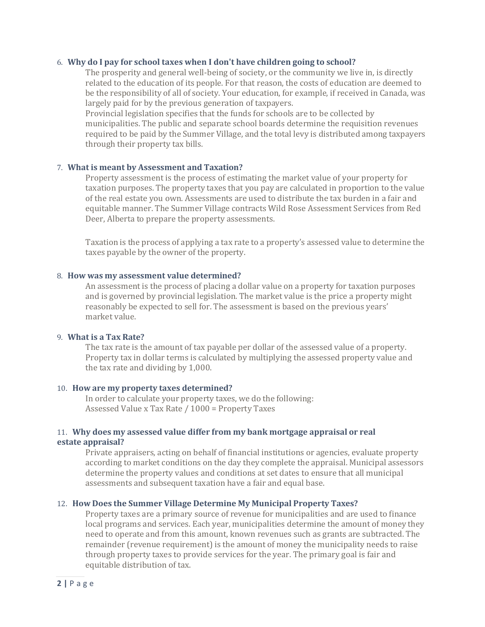#### 6. **Why do I pay for school taxes when I don't have [children](https://www.hinton.ca/Faq.aspx?TID=27) going to school?**

The prosperity and general well-being of society, or the community we live in, is directly related to the education of its people. For that reason, the costs of education are deemed to be the responsibility of all of society. Your education, for example, if received in Canada, was largely paid for by the previous generation of taxpayers.

Provincial legislation specifies that the funds for schools are to be collected by municipalities. The public and separate school boards determine the requisition revenues required to be paid by the Summer Village, and the total levy is distributed among taxpayers through their property tax bills.

#### 7. **What is meant by [Assessment](https://www.hinton.ca/Faq.aspx?TID=27) and Taxation?**

Property assessment is the process of estimating the market value of your property for taxation purposes. The property taxes that you pay are calculated in proportion to the value of the real estate you own. Assessments are used to distribute the tax burden in a fair and equitable manner. The Summer Village contracts Wild Rose Assessment Services from Red Deer, Alberta to prepare the property assessments.

Taxation is the process of applying a tax rate to a property's assessed value to determine the taxes payable by the owner of the property.

#### 8. **How was my assessment value [determined?](https://www.hinton.ca/Faq.aspx?TID=27)**

An assessment is the process of placing a dollar value on a property for taxation purposes and is governed by provincial legislation. The market value is the price a property might reasonably be expected to sell for. The assessment is based on the previous years' market value.

#### 9. **[What](https://www.hinton.ca/Faq.aspx?TID=27) is a Tax Rate?**

The tax rate is the amount of tax payable per dollar of the assessed value of a property. Property tax in dollar terms is calculated by multiplying the assessed property value and the tax rate and dividing by 1,000.

#### 10. **How are my property taxes [determined?](https://www.hinton.ca/Faq.aspx?TID=27)**

In order to calculate your property taxes, we do the following: Assessed Value x Tax Rate / 1000 = Property Taxes

## 11. **Why does my assessed value differ from my bank [mortgage](https://www.hinton.ca/Faq.aspx?TID=27) appraisal or real [estate](https://www.hinton.ca/Faq.aspx?TID=27) [appraisal?](https://www.hinton.ca/Faq.aspx?TID=27)**

Private appraisers, acting on behalf of financial institutions or agencies, evaluate property according to market conditions on the day they complete the appraisal. Municipal assessors determine the property values and conditions at set dates to ensure that all municipal assessments and subsequent taxation have a fair and equal base.

#### 12. **How Does the Summer Village [Determine](https://www.hinton.ca/Faq.aspx?TID=27) My Municipal Property Taxes?**

Property taxes are a primary source of revenue for municipalities and are used to finance local programs and services. Each year, municipalities determine the amount of money they need to operate and from this amount, known revenues such as grants are subtracted. The remainder (revenue requirement) is the amount of money the municipality needs to raise through property taxes to provide services for the year. The primary goal is fair and equitable distribution of tax.